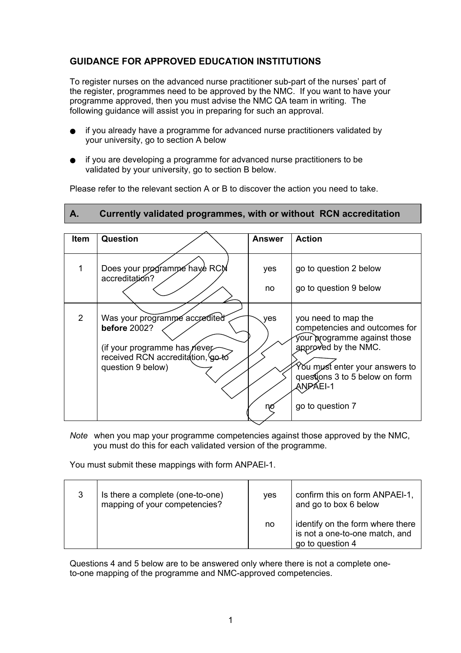## **GUIDANCE FOR APPROVED EDUCATION INSTITUTIONS**

To register nurses on the advanced nurse practitioner sub-part of the nurses' part of the register, programmes need to be approved by the NMC. If you want to have your programme approved, then you must advise the NMC QA team in writing. The following guidance will assist you in preparing for such an approval.

- if you already have a programme for advanced nurse practitioners validated by your university, go to section A below
- if you are developing a programme for advanced nurse practitioners to be validated by your university, go to section B below.

Please refer to the relevant section A or B to discover the action you need to take.

## **A. Currently validated programmes, with or without RCN accreditation**

| Item | Question                                                                                                                                       | <b>Answer</b> | <b>Action</b>                                                                                                                                                                                                    |
|------|------------------------------------------------------------------------------------------------------------------------------------------------|---------------|------------------------------------------------------------------------------------------------------------------------------------------------------------------------------------------------------------------|
|      |                                                                                                                                                |               |                                                                                                                                                                                                                  |
|      | Does your programme have RCM<br>accreditation?                                                                                                 | yes           | go to question 2 below                                                                                                                                                                                           |
|      |                                                                                                                                                | no            | go to question 9 below                                                                                                                                                                                           |
| 2    | Was your programme accredited<br><b>before</b> 2002?<br>(if your programme has never<br>received RCN accreditation, go to<br>question 9 below) | yes<br>nc     | you need to map the<br>competencies and outcomes for<br>your programme against those<br>approved by the NMC.<br>You must enter your answers to<br>questions 3 to 5 below on form<br>ANPÁEI-1<br>go to question 7 |

*Note* when you map your programme competencies against those approved by the NMC, you must do this for each validated version of the programme.

You must submit these mappings with form ANPAEl-1.

| Is there a complete (one-to-one)<br>mapping of your competencies? | <b>ves</b> | confirm this on form ANPAEI-1,<br>and go to box 6 below                                |
|-------------------------------------------------------------------|------------|----------------------------------------------------------------------------------------|
|                                                                   | no         | identify on the form where there<br>is not a one-to-one match, and<br>go to question 4 |

Questions 4 and 5 below are to be answered only where there is not a complete oneto-one mapping of the programme and NMC-approved competencies.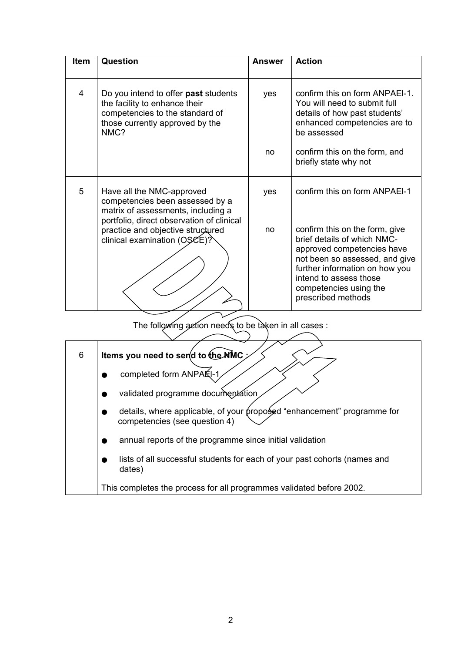| <b>Item</b> | Question                                                                                                                                            | <b>Answer</b> | <b>Action</b>                                                                                                                                                                                                                             |
|-------------|-----------------------------------------------------------------------------------------------------------------------------------------------------|---------------|-------------------------------------------------------------------------------------------------------------------------------------------------------------------------------------------------------------------------------------------|
| 4           | Do you intend to offer past students<br>the facility to enhance their<br>competencies to the standard of<br>those currently approved by the<br>NMC? | yes           | confirm this on form ANPAEI-1.<br>You will need to submit full<br>details of how past students'<br>enhanced competencies are to<br>be assessed                                                                                            |
|             |                                                                                                                                                     | no            | confirm this on the form, and<br>briefly state why not                                                                                                                                                                                    |
| 5           | Have all the NMC-approved<br>competencies been assessed by a<br>matrix of assessments, including a<br>portfolio, direct observation of clinical     | yes           | confirm this on form ANPAEI-1                                                                                                                                                                                                             |
|             | practice and objective structured<br>clinical examination (OSCE)?                                                                                   | no            | confirm this on the form, give<br>brief details of which NMC-<br>approved competencies have<br>not been so assessed, and give<br>further information on how you<br>intend to assess those<br>competencies using the<br>prescribed methods |

The following action needs to be taken in all cases :

| 6 | ltems you need to ser(d to the NMC ;                                                                     |
|---|----------------------------------------------------------------------------------------------------------|
|   | completed form ANPAÉI-1                                                                                  |
|   | validated programme documentation                                                                        |
|   | details, where applicable, of your proposed "enhancement" programme for<br>competencies (see question 4) |
|   | annual reports of the programme since initial validation                                                 |
|   | lists of all successful students for each of your past cohorts (names and<br>dates)                      |
|   | This completes the process for all programmes validated before 2002.                                     |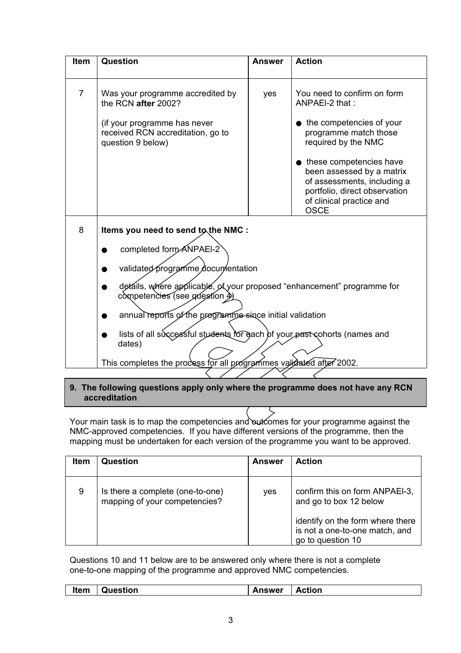| <b>Item</b>    | Question                                                                                                                                                                                                                                                                                                                                                                                                                                  | <b>Answer</b> | <b>Action</b>                                                                                                                                                                                                                                                                                  |
|----------------|-------------------------------------------------------------------------------------------------------------------------------------------------------------------------------------------------------------------------------------------------------------------------------------------------------------------------------------------------------------------------------------------------------------------------------------------|---------------|------------------------------------------------------------------------------------------------------------------------------------------------------------------------------------------------------------------------------------------------------------------------------------------------|
| $\overline{7}$ | Was your programme accredited by<br>the RCN after 2002?<br>(if your programme has never<br>received RCN accreditation, go to<br>question 9 below)                                                                                                                                                                                                                                                                                         | yes           | You need to confirm on form<br>ANPAEI-2 that:<br>the competencies of your<br>programme match those<br>required by the NMC<br>• these competencies have<br>been assessed by a matrix<br>of assessments, including a<br>portfolio, direct observation<br>of clinical practice and<br><b>OSCE</b> |
| 8              | Items you need to send to the NMC :<br>completed form ANPAEI-2<br>validated programme documentation<br>details, where applicable, of your proposed "enhancement" programme for<br>competencies (see question 4)<br>annual reports of the programme since initial validation<br>lists of all successful students for each of your past cohorts (names and<br>dates)<br>This completes the process for all programmes validated after 2002. |               |                                                                                                                                                                                                                                                                                                |

## **9. The following questions apply only where the programme does not have any RCN accreditation**

Your main task is to map the competencies and outcomes for your programme against the NMC-approved competencies. If you have different versions of the programme, then the mapping must be undertaken for each version of the programme you want to be approved.

| <b>Item</b> | Question                                                          | <b>Answer</b> | <b>Action</b>                                                                                                                                       |
|-------------|-------------------------------------------------------------------|---------------|-----------------------------------------------------------------------------------------------------------------------------------------------------|
| 9           | Is there a complete (one-to-one)<br>mapping of your competencies? | yes           | confirm this on form ANPAEI-3,<br>and go to box 12 below<br>identify on the form where there<br>is not a one-to-one match, and<br>go to question 10 |

Questions 10 and 11 below are to be answered only where there is not a complete one-to-one mapping of the programme and approved NMC competencies.

| Item     | Answer |
|----------|--------|
| Question | Action |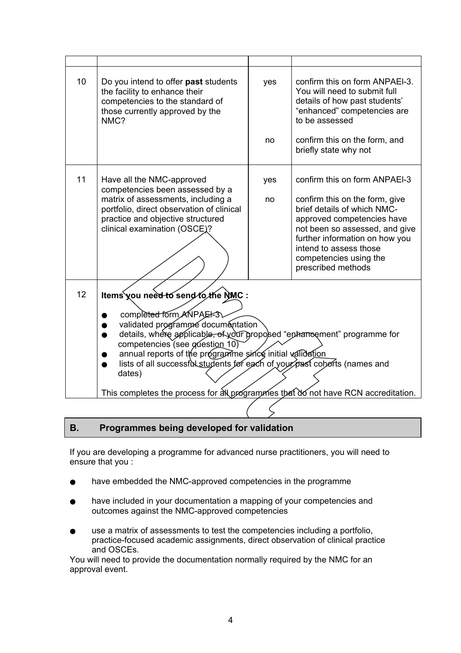| 10 | Do you intend to offer past students<br>the facility to enhance their<br>competencies to the standard of<br>those currently approved by the<br>NMC?                                                                                                                                                                                                                                                                                                                                | yes<br>no | confirm this on form ANPAEI-3.<br>You will need to submit full<br>details of how past students'<br>"enhanced" competencies are<br>to be assessed<br>confirm this on the form, and<br>briefly state why not                                                                 |
|----|------------------------------------------------------------------------------------------------------------------------------------------------------------------------------------------------------------------------------------------------------------------------------------------------------------------------------------------------------------------------------------------------------------------------------------------------------------------------------------|-----------|----------------------------------------------------------------------------------------------------------------------------------------------------------------------------------------------------------------------------------------------------------------------------|
| 11 | Have all the NMC-approved<br>competencies been assessed by a<br>matrix of assessments, including a<br>portfolio, direct observation of clinical<br>practice and objective structured<br>clinical examination (OSCE)?                                                                                                                                                                                                                                                               | yes<br>no | confirm this on form ANPAEI-3<br>confirm this on the form, give<br>brief details of which NMC-<br>approved competencies have<br>not been so assessed, and give<br>further information on how you<br>intend to assess those<br>competencies using the<br>prescribed methods |
| 12 | Items you need to send to the NMC :<br>completed form ANPAEI-3<br>validated programme documentation<br>details, where applicable, of your proposed "enhancement" programme for<br>$\bullet$<br>competencies (see guestion 10)<br>annual reports of the programme since initial validation<br>lists of all successfol students for each of your past coborts (names and<br>$\bullet$<br>dates)<br>This completes the process for all programmes that do not have RCN accreditation. |           |                                                                                                                                                                                                                                                                            |
|    |                                                                                                                                                                                                                                                                                                                                                                                                                                                                                    |           |                                                                                                                                                                                                                                                                            |

## **B. Programmes being developed for validation**

If you are developing a programme for advanced nurse practitioners, you will need to ensure that you :

- have embedded the NMC-approved competencies in the programme
- have included in your documentation a mapping of your competencies and outcomes against the NMC-approved competencies
- use a matrix of assessments to test the competencies including a portfolio, practice-focused academic assignments, direct observation of clinical practice and OSCEs.

You will need to provide the documentation normally required by the NMC for an approval event.